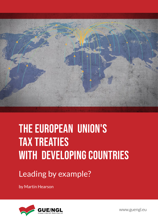

# THE EUROPEAN UNION'S TAX TREATIES WITH DEVELOPING COUNTRIES

Leading by example?

by Martin Hearson



www.guengl.eu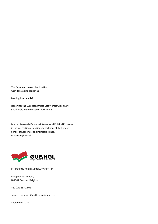**The European Union's tax treaties with developing countries**

**Leading by example?**

Report for the European United Left/Nordic Green Left (GUE/NGL) in the European Parliament

Martin Hearson is Fellow in International Political Economy in the International Relations department of the London School of Economics and Political Science. *m.hearson@lse.ac.uk*



EUROPEAN PARLIAMENTARY GROUP

European Parliament, B-1047 Brussels, Belgium

+32 (0)2 283 23 01

 *guengl-communications@europarl.europa.eu*

September 2018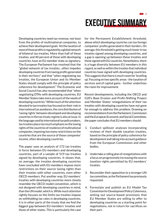**3**

Developing countries need tax revenue, not least from the profits of multinational companies, to achieve their development goals. Yet the taxation of most of those profits is regulated by a global network of bilateral tax treaties. More than half of these treaties, and 40 percent of those with developing countries, have an EU member state as signatory. The European Parliament has resolved that the "global network of tax treaties…often impedes developing countries from taxing profits generated in their territory" and that "when negotiating tax treaties, the European Union and its Member States should comply with the principle of policy coherence for development." The Economic and Social Council has also recommended that "when negotiating DTAs with developing countries, EU Member States take more account of the needs of developing countries." While much of the attention devoted to tax treaties has focused on their role in international tax avoidance, the core distribution of 'taxing rights' between developed and developing countries in the tax treaty regime is also at issue. In the language used by international tax policymakers, tax treaties place too much emphasis on the taxing rights of the countries of residence of multinational companies, imposing too many restrictions on the countries that are the source of those companies' income, often developing countries.

The paper uses an analysis of 172 tax treaties in force between EU members and developing countries, part of a sample of 519 tax treaties signed by developing countries. It shows that, on average, the treaties developing countries have concluded with EU members impose more restrictions on their source taxing rights than their treaties with other countries, even other OECD members. Put another way, EU members' treaties with developing countries more closely resemble the OECD model convention, which is not designed with developing countries in mind, than the UN model, which is. While much attention rightly focuses on the limits tax treaties impose on withholding tax rates in developing countries, it is in other parts of the treaty that we find the biggest gap between EU members' treaties and those of other states. This is particularly the case

for the Permanent Establishment threshold, above which developing countries can tax foreign companies' profits generated in their borders. On average, this threshold is getting much lower in tax treaties signed among developing countries, and a gap is opening up between these treaties and those signed with EU countries. Nonetheless, there is a huge diversity between EU members in this regard, as well as within the treaties that individual countries have signed with developing countries. This suggests that there is much room for 'levelling up'. Focusing on two specific areas - the taxation of services and of capital gains - further underlines the room for improvement.

Recent developments, including the OECD and G20's Base Erosion and Profit-Shifting Project and Member States' renegotiations of their tax treaties with developing countries have not gone far enough to address this problem. Drawing on recommendations from the Parliament, Commission and the European Economic and Social Committee, the paper concludes that EU members should:

- 1. Conduct spillover analyses incorporating reviews of their double taxation treaties, based on the principle of policy coherence for development and taking into account guidance from the European Commission and other bodies.
- 2. Undertake a rolling plan of renegotiations with a focus on progressively increasing the source taxation rights permitted by EU members' treaties.
- 3. Reconsider their opposition to a stronger UN tax committee, as the Parliament has previously requested.
- 4. Formulate and publish an EU Model Tax Convention for Development Policy Coherence, setting out source-based provisions that EU Member States are willing to offer to developing countries as a starting point for negotiations, not in return for sacrifices on their part.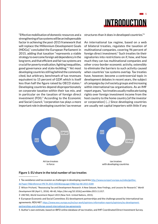

"Effective mobilisation of domestic resources and a strengthening of tax systems will be an indispensable factor in achieving the post-2015 framework that will replace the Millennium Development Goals (MDGs)," concluded the European Parliament in 2015, adding that taxation "represents a viable strategy to overcome foreign aid dependency in the long term, and that efficient and fair tax systems are crucial for poverty eradication, fighting inequalities, good governance and state-building."1 Yet most developing countries still lag behind the commonly cited, but arbitrary, benchmark of tax revenues equivalent to 15 percent of GDP, which is itself less than half the figure raised by OECD states.<sup>2</sup> Developing countries depend disproportionately on corporate taxation within their tax mix, and in particular on the taxation of foreign direct investment (FDI).3 According to the Economic and Social Council, "corporation tax plays a more important role in developing countries' tax revenue

structures than it does in developed countries."4

An international tax regime, based on a web of bilateral treaties, regulates the taxation of multinational companies, covering 96 percent of foreign direct investment.5 Such treaties tie their signatories into restrictions on if, how, and how much they can tax multinational companies and other cross-border economic activity, ostensibly to eliminate the barriers to such activity caused when countries' tax systems overlap. Tax treaties have, however, become a controversial topic in development debates in recent years, the subject of campaigns by civil society groups and increasing within international tax organisations. As an IMF report argues, "tax treaties usually reallocate taxing rights over foreign investment income from the host country to the home country [of the investor or corporation] (…) Since developing countries are usually net capital importers with little if any



#### **Figure 1: EU share in the total number of tax treaties**

1 Tax avoidance and tax evasion as challenges in developing countries [http://www.europarl.europa.eu/sides/getDoc.](http://www.europarl.europa.eu/sides/getDoc.do?type=TA&reference=P8-TA-2015-0265&language=EN&ring=A8-2015-0184) [do?type=TA&reference=P8-TA-2015-0265&language=EN&ring=A8-2015-0184](http://www.europarl.europa.eu/sides/getDoc.do?type=TA&reference=P8-TA-2015-0265&language=EN&ring=A8-2015-0184)

<sup>2</sup> Wilson Prichard, "Reassessing Tax and Development Research: A New Dataset, New Findings, and Lessons for Research," *World Development* 80 (April 1, 2016): 48–60, https://doi.org/10.1016/j.worlddev.2015.11.017.

<sup>3</sup> UNCTAD, *World Investment Report 2015* (New York: United Nations, 2015).

<sup>4</sup> European Economic and Social Committee. EU development partnerships and the challenge posed by international tax agreements. REX/487. [https://www.eesc.europa.eu/en/our-work/opinions-information-reports/opinions/eu-development](https://www.eesc.europa.eu/en/our-work/opinions-information-reports/opinions/eu-development-partnerships-and-challenge-posed-international-tax-agreements)[partnerships-and-challenge-posed-international-tax-agreements](https://www.eesc.europa.eu/en/our-work/opinions-information-reports/opinions/eu-development-partnerships-and-challenge-posed-international-tax-agreements)

<sup>5</sup> Author's own estimate, based on IBFD online database of tax treaties, and IMF Coordinated Direct Investment Survey.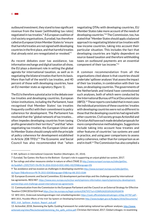outbound investment, they stand to lose significant revenue from the lower [withholding tax rates] negotiated in tax treaties."6 A European coalition of civil society organisations, Eurodad, has therefore called on European Union Member States to "ensure that harmful treaties are not signed with developing countries in the first place, and that harmful treaties that already exist are renegotiated or revoked."<sup>7</sup>

As recent debates over tax avoidance, tax information exchange and digital taxation all show, the EU plays a dominant role in setting the global agenda for international taxation, as well as in negotiating the bilateral treaties that form its basis. More than half of the world's tax treaties, and 40 percent of those with developing countries, have an EU member state as signatory (figure 1).

The EU is therefore a pivotal actor in the debate over tax treaties and developing countries. European Union institutions, including the Parliament, have recognised that Member States' tax treaties frequently conflict with their commitment to policy coherence for development. The Parliament has resolved that the "global network of tax treaties… often impedes developing countries from taxing profits generated in their territory"8 and that "when negotiating tax treaties, the European Union and its Member States should comply with the principle of policy coherence for development established in Article 208 TFEU."9 The Economic and Social Council has also recommended that "when

negotiating DTAs with developing countries, EU Member States take more account of the needs of developing countries."10 The Commission, too, has stated that "Member States should apply a balanced approach to negotiating bilateral tax treaties with low-income countries, taking into account their particular situation. This includes the fact that developing countries are highly dependent on source-based taxation and therefore withholding taxes on outbound payments are an essential component of their tax income."11

A common recommendation from all the organisations cited above is that countries should undertake 'spillover analyses' that assess the impact of their tax treaties, in combination with their tax laws, on developing countries. The governments of the Netherlands and Ireland have commissioned such analyses, both of which were conducted by the International Bureau of Fiscal Documentation (IBFD).12 These reports concluded that in most cases the individual provisions of these countries' treaties with developing countries were not so different to those that the developing countries had signed with other countries. Civil society groups ActionAid and Christian Aid have each made detailed proposals for more comprehensive methodologies. Suggestions include taking into account how treaties and other features of countries' tax systems are used in practice, and using peer comparisons to assess policy coherence, rather than for comparison as an end in itself.13 The Commission has also compiled a

<sup>6</sup> IMF, *Spillovers in International Corporate Taxation* (Washington, DC, 2014).

<sup>7</sup> Eurodad, Tax Games: the Race to the Bottom - Europe's role in supporting an unjust global tax system, 2017.

<sup>8</sup> Tax rulings and other measures similar in nature or effect (TAXE 2) [http://www.europarl.europa.eu/sides/getDoc.](http://www.europarl.europa.eu/sides/getDoc.do?pubRef=-//EP//TEXT+TA+P8-TA-2016-0310+0+DOC+XML+V0//EN&language=EN) [do?pubRef=-//EP//TEXT+TA+P8-TA-2016-0310+0+DOC+XML+V0//EN&language=EN](http://www.europarl.europa.eu/sides/getDoc.do?pubRef=-//EP//TEXT+TA+P8-TA-2016-0310+0+DOC+XML+V0//EN&language=EN)

<sup>9</sup> Tax avoidance and tax evasion as challenges in developing countries [http://www.europarl.europa.eu/sides/getDoc.](http://www.europarl.europa.eu/sides/getDoc.do?type=TA&reference=P8-TA-2015-0265&language=EN&ring=A8-2015-0184) [do?type=TA&reference=P8-TA-2015-0265&language=EN&ring=A8-2015-0184](http://www.europarl.europa.eu/sides/getDoc.do?type=TA&reference=P8-TA-2015-0265&language=EN&ring=A8-2015-0184)

<sup>10</sup> European Economic and Social Committee. EU development partnerships and the challenge posed by international tax agreements. REX/487. [https://www.eesc.europa.eu/en/our-work/opinions-information-reports/opinions/eu-development](https://www.eesc.europa.eu/en/our-work/opinions-information-reports/opinions/eu-development-partnerships-and-challenge-posed-international-tax-agreements)[partnerships-and-challenge-posed-international-tax-agreements](https://www.eesc.europa.eu/en/our-work/opinions-information-reports/opinions/eu-development-partnerships-and-challenge-posed-international-tax-agreements)

<sup>11</sup> Communication from the Commission to the European Parliament and the Council on an External Strategy for Effective Taxation COM/2016/024 final <https://eur-lex.europa.eu/legal-content/EN/TXT/?uri=COM%3A2016%3A24%3AFIN>

<sup>12</sup> IBFD 2015, Onderzoek belastingverdragen met ontwikkelingslanden<https://zoek.officielebekendmakingen.nl/blg-247787.pdf>; IBFD 2015, Possible Effects of the Irish Tax System on Developing Economies [http://www.budget.gov.ie/Budgets/2016/Documents/](http://www.budget.gov.ie/Budgets/2016/Documents/IBFD_Irish_Spillover_Analysis_Report_pub.pdf) [IBFD\\_Irish\\_Spillover\\_Analysis\\_Report\\_pub.pdf](http://www.budget.gov.ie/Budgets/2016/Documents/IBFD_Irish_Spillover_Analysis_Report_pub.pdf)

<sup>13</sup> ActionAid, 2018, Stemming the Spills: Guiding framework for undertaking national tax spillover analyses. [http://www.](http://www.actionaid.org/sites/files/actionaid/stemming_the_spills_online.pdf) [actionaid.org/sites/files/actionaid/stemming\\_the\\_spills\\_online.pdf](http://www.actionaid.org/sites/files/actionaid/stemming_the_spills_online.pdf); Christian Aid Ireland, 2017, Global Linkages: re-examining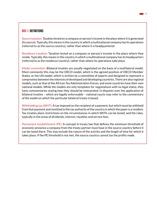#### BOX 1: DEFINITIONS

Source taxation. Taxation levied on a company or person's income in the place where it is generated (its source). Typically, this means in the country in which a multinational company has its operations (referred to as the source country), rather than where it is headquartered.

Residence taxation. Taxation levied on a company or person's income in the place where they reside. Typically, this means in the country in which a multinational company has its headquarters (referred to as the residence country), rather than where its operations take place.

Model convention. Bilateral treaties are usually negotiated on the basis of a multilateral model. Most commonly this may be the OECD model, which is the agreed position of OECD Member States, or the UN model, which is written by a committee of experts and designed to represent a compromise between the interests of developed and developing countries. There are also regional models, such as that of the African Tax Administration Forum, and some countries have their own national models. While the models are only templates for negotiations with no legal status, they have commentaries stating how they should be interpreted. In disputes over the application of bilateral treaties – which are legally enforceable – national courts may refer to the commentary of the model on which the particular bilateral treaty is based.

Withholding tax (WHT). A tax imposed on the recipient of a payment, but which must be withheld from that payment and remitted to the tax authority of the country in which the payer is a resident. Tax treaties place restrictions on the circumstances in which WHTs can be levied, and the rates, typically in the areas of dividends, interest, royalties and service fees.

Permanent establishment (PE). A concept in treaty law that defines the minimum threshold of economic presence a company from the treaty partner must have in the source country before it can be taxed there. This may include the nature of the activity and the length of time for which it takes place. If the PE threshold is not met, the source country cannot tax the profits made.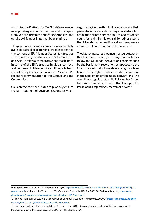toolkit for the Platform for Tax Good Governance, incorporating recommendations and examples from various organisations.14 Nonetheless, the uptake by Member States has been minimal.

This paper uses the most comprehensive publicly available dataset of bilateral tax treaties to analyse the content of EU Member States' tax treaties with developing countries in sub-Saharan Africa and Asia. It takes a comparative approach, both in terms of the EU's treaties in global context, and between EU Member States. It departs from the following text in the European Parliament's recent recommendation to the Council and the Commission:

Calls on the Member States to properly ensure the fair treatment of developing countries when

negotiating tax treaties, taking into account their particular situation and ensuring a fair distribution of taxation rights between source and residence countries; calls, in this regard, for adherence to the UN model tax convention and for transparency around treaty negotiations to be ensured.<sup>15</sup>

The dataset measures the amount of source taxation that tax treaties permit, assessing how much they follow the UN model convention recommended by the Parliament resolution, as opposed to the OECD model that allows developing countries fewer taxing rights. It also considers variations in the application of the model conventions. The overall message is that, while EU Member States have signed some tax treaties that live up to the Parliament's aspirations, many more do not.

the empirical basis of the 2015 tax spillover analysis [https://www.christianaid.ie/sites/default/files/2018-02/global-linkages](https://www.christianaid.ie/sites/default/files/2018-02/global-linkages-tax-report.pdf)[tax-report.pdf](https://www.christianaid.ie/sites/default/files/2018-02/global-linkages-tax-report.pdf) and 'Impossible' Structures: Tax Outcomes Overlooked By The 2015 Tax Spillover Analysis [https://www.](https://www.christianaid.ie/resources/campaigns/impossible-structures-2017-tax-report) [christianaid.ie/resources/campaigns/impossible-structures-2017-tax-report](https://www.christianaid.ie/resources/campaigns/impossible-structures-2017-tax-report)

<sup>14</sup> Toolbox spill-over effects of EU tax policies on developing countries. Platform/32/2017/EN [https://ec.europa.eu/taxation\\_](https://ec.europa.eu/taxation_customs/sites/taxation/files/toolbox_dtas_spill_overs_en.pdf) [customs/sites/taxation/files/toolbox\\_dtas\\_spill\\_overs\\_en.pdf](https://ec.europa.eu/taxation_customs/sites/taxation/files/toolbox_dtas_spill_overs_en.pdf)

<sup>15</sup> European Parliament recommendation of 13 December 2017. Recommendation following the inquiry on money laundering, tax avoidance and tax evasion. P8\_TA-PROV(2017)0491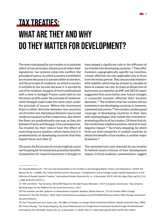### Tax treaties:

# what are they and why do they matter for development?

The main role played by tax treaties is to stipulate which of two principles should prevail when their signatories' tax systems come into conflict: the principle of source, by which a country is entitled to tax income because it is earned within its borders, and the principle of residence, by which a country is entitled to tax income because it is earned by one of its residents. Imagine a French multinational with a mine in Senegal: France could claim to tax the mine's profits under the principle of residence, while Senegal could make the same claim under the principle of source. Where the investment flows in either direction between two countries are of similar size, the balance between source and residence taxation is of less importance. But where the flows are predominantly one way, as they are between France and Senegal, it has consequences. Tax treaties by their nature have the effect of restricting source taxation, which means that it is predominantly on developing countries that they impose fiscal costs (box 2).

Of course, the fiscal costs of a treaty might be a price worth paying for its investment promotion benefits. Competition for inward investment is thought to

have played a significant role in the diffusion of tax treaties into developing countries.<sup>16</sup> They offer investors a geographically-specific tax incentive, a lower effective tax rate applicable only to firms from the treaty partner. They also provide investors with stability, which may be at least as valuable to them as a lower tax rate: as many as 60 percent of businesses surveyed for an IMF and OECD report suggested that uncertainty over future changes in corporate taxation affected their location decisions.17 The evidence that tax treaties attract investment into developing countries is, however, contested and unclear.18 Few studies combine good coverage of developing countries in their data with methodologies that isolate the investmentpromoting effects of tax treaties. Of those that do, the results have implied a positive, neutral or even negative impact.19 Tax treaty shopping, by which firms use shell companies in conduit countries to obtain the benefits of tax treaties, is another major drawback.<sup>20</sup>

The asymmetrical costs imposed by tax treaties lie behind recent criticism of their development impact. Critical academic commentators suggest

<sup>16</sup> Eduardo Baistrocchi, "The Use and Interpretation of Tax Treaties in the Emerging World: Theory and Implications," *British Tax Review* 28, no. 4 (2008): 352; Fabian Barthel and Eric Neumayer, "Competing for Scarce Foreign Capital: Spatial Dependence in the Diffusion of Double Taxation Treaties," *International Studies Quarterly* 56, no. 4 (December 2012): 645–60, https://doi.org/10.1111/ j.1468-2478.2012.00757.x.

<sup>17</sup> IMF and OECD, "Tax Certainty: OECD/IMF Report to the G20 Finance Ministers," 2017; European Commission, "Tax Certainty: Working Paper for the Platform for Tax Good Governance," 2017.

<sup>18</sup> For reviews, see IMF, *Spillovers in International Corporate Taxation*; Martin Hearson, "Do Tax Treaties Affect Foreign Investment? The Plot Thickens," 2014, http://martinhearson.wordpress.com/2014/06/19/do-tax-treaties-affect-foreign-investmentthe-plot-thickens/.

<sup>19</sup> Karl P Sauvant and Lisa E Sachs, eds., *The Effect of Treaties on Foreign Direct Investment* (Oxford: Oxford University Press, 2009). 20 Francis Weyzig, "Tax Treaty Shopping: Structural Determinants of Foreign Direct Investment Routed through the Netherlands," *International Tax and Public Finance* 20, no. 6 (December 11, 2013): 910–37, https://doi.org/10.1007/s10797-012-9250-z.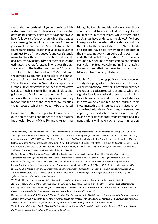that the burden on developing countries is too high, and often unnecessary.21 There is also evidence that developing country negotiators have not always been fully aware of the extent to which the treaties they were signing would constrain their future tax policymaking autonomy.22 Several studies have found significant tax costs for developing countries from just two of the clauses found consistently in tax treaties, those on the taxation of dividends and interest payments. In two of these studies, the estimated revenue foregone in one year through treaties with the Netherlands was €770m, and with the United States \$1.6bn.<sup>23</sup> Viewed from the developing country's perspective, the annual costs estimated to Bangladesh and Zambia are \$85 million and Zambia \$42 million respectively. Uganda's tax treaty with the Netherlands may have cost it as much as \$85 million in one single capital gains tax case. While these are not transformative amounts, they are nonetheless significant, and they may only be the tip of the iceberg for tax treaties, the full costs of which cannot easily be estimated.

Consequently, there is a political movement to question the costs and benefits of tax treaties. Indonesia, South Africa, Rwanda, Argentina,

Mongolia, Zambia, and Malawi are among those countries that have cancelled or renegotiated tax treaties in recent years, while others, such as Uganda, have undertaken reviews.<sup>24</sup> Perhaps in response to the international debate and the threat of further cancellations, the Netherlands and Ireland have also reviewed the impact of their treaty networks on developing countries, and offered partial renegotiations.<sup>25</sup> Civil society groups have begun to mount campaigns against particular tax treaties, culminating in an ongoing law suit in Kenya that has prevented its treaty with Mauritius from coming into force.<sup>26</sup>

Much of this growing politicisation concerns 'treaty shopping', a form of tax avoidance through which international investors from third countries exploit tax treaties to obtain benefits to which the signatories did not intend them to be eligible.<sup>27</sup> In such cases, firms reduce their tax liabilities in developing countries by structuring their investments through intermediate jurisdictions such as the Netherlands and Mauritius, whose treaties impose greater restrictions on the source country's taxing rights. Recent progress in international tax negotiations will make such structuring harder:

<sup>21</sup> Tsilly Dagan, "The Tax Treaties Myth," *New York University Journal of International Law and Politics* 32 (2000): 939–939; Victor Thuronyi, "Tax Treaties and Developing Countries," in *Tax Treaties: Building Bridges between Law and Economics*, ed. Michael Lang et al. (Amsterdam: IBFD, 2010), 441–58; Dimitri Paolini et al., "Tax Treaties with Developing Countries and the Allocation of Taxing Rights," *European Journal of Law and Economics* 42, no. 3 (December 2016): 383–404, https://doi.org/10.1007/s10657-014-9465-9; Kim Brooks and Richard Krever, "The Troubling Role of Tax Treaties," in *Tax Design Issues Worldwide*, ed. Geerten M. M. Michielse and Victor Thuronyi (Kluwer Law International, 2015), 159–178.

<sup>22</sup> Jalia Kangave, "The Dominant Voices in Double Taxation Agreements: A Critical Analysis of the 'Dividend' Article in the Agreement between Uganda and the Netherlands," *International Community Law Review* 11, no. 4 (November 2009): 387– 407, https://doi.org/10.1163/187197409X12525781476123; Charles R Irish, "International Double Taxation Agreements and Income Taxation At Source:," *International and Comparative Law Quarterly* 23, no. 2 (1974): 292–316, https://doi.org/10.1093/ iclqaj/23.2.292; Martin Hearson, *Tax Treaties in Sub-Saharan Africa: A Critical Review* (Nairobi: Tax Justice Network Africa, 2015). 23 Katrin McGauran, *Should the Netherlands Sign Tax Treaties with Developing Countries?* (Amsterdam: SOMO, 2013); IMF, *Spillovers in International Corporate Taxation*.

<sup>24</sup> Martin Hearson, *Tax Treaties in Sub-Saharan Africa: A Critical Review* (Nairobi: Tax Justice Network Africa, 2015).

<sup>25</sup> IBFD, *Possible Effects of the Irish Tax System on Developing Economies* (Dublin: Irish Ministry of Finance, 2015); Netherlands Ministry of Finance, *Government's Response to the Report from SEO Economics Amsterdam on Other Financial Institutions and the IBFD Report on Developing Countries* (Amsterdam: Netherlands Ministry of Finance, 2013).

<sup>26</sup> For example ActionAid, *Mistreated: The Tax Treaties That Are Depriving the World's Poorest Countries of Vital Revenue* (London: ActionAid UK, 2016); McGauran, *Should the Netherlands Sign Tax Treaties with Developing Countries?*; Mike Lewis, *Sweet Nothings: The Human Cost of a British Sugar Giant Avoiding Taxes in Southern Africa* (London: ActionAid UK, 2013).

<sup>27</sup> ActionAid, *Mistreated: The Tax Treaties That Are Depriving the World's Poorest Countries of Vital Revenue*; McGauran, *Should the Netherlands Sign Tax Treaties with Developing Countries?*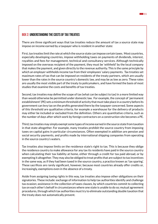#### **111**

#### BOX 2: UNDERSTANDING THE COSTS OF TAX TREATIES

There are three significant ways that tax treaties reduce the amount of tax a source state may impose on income earned by a taxpayer who is resident in another state:

First, tax treaties limit the rate at which the source state can impose certain taxes. Most countries, especially developing countries, impose withholding taxes on payments of dividends, interest, royalties and fees for management, technical and consultancy services. Although technically imposed on the overseas recipient of the payment, they must be 'withheld' by the local company that makes the payment, and given directly to the revenue authority. This is the same principle by which an employer withholds income tax from their employees' salary payments. Tax treaties set maximum rates of tax that can be imposed on residents of the treaty partners, which are usually lower than the rates in the source country's domestic law, and may be as low as zero. These rates are usually the most visible part of the treaty to policymakers, and have formed the basis of most studies that examine the costs and benefits of tax treaties.

Second, tax treaties may define the scope of tax (what can be subject to tax) in a more limited way than would otherwise be permitted under domestic law. For example, the concept of 'permanent establishment' (PE) sets a minimum threshold of activity that must take place in a country before its government can levy tax on the profits generated there by the taxpayer concerned. Some aspects of this threshold are qualitative criteria, for example a warehouse for the delivery of products may either be included or excluded from the definition. Others are quantitative criteria, such as the number of days after which work by foreign contractors on a construction site becomes a PE.

Third, tax treaties may simply exempt some types of income earned in the source state from taxation in that state altogether. For example, many treaties prohibit the source country from imposing taxes on capital gains in particular circumstances. Often exempted in addition are pension and social security payments, and profits made by international shipping companies from operating in the source country's waters.

Tax treaties also impose limits on the residence state's right to tax. This is because they oblige the residence country to make allowance for any tax its residents have paid in the source country when calculating their tax liability at home, either through a credit for tax paid abroad, or by exempting it altogether. They may also be obliged to treat profits that are subject to tax incentives in the same way, as if they had been taxed in the source country, a practice known as 'tax sparing'. These sacrifices are rarely significant, however, because most countries already offer credits or, increasingly, exemptions even in the absence of a treaty.

Aside from assigning taxing rights in this way, tax treaties also impose other obligations on their signatories. These include: exchange of information to help tax authorities identify and challenge tax evasion; assistance in the collection of taxes clauses, by which countries commit to collecting tax on each other's behalf in circumstances where one state is unable to do so; mutual agreement procedures, through which tax authorities must try to eliminate outstanding double taxation that the treaty does not automatically prevent.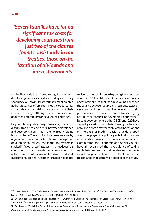*'Several studies have found* 

*significant tax costs for developing countries from just two of the clauses found consistently in tax treaties, those on the taxation of dividends and interest payments'*

the Netherlands has offered renegotiations with developing countries aimed at including anti-treaty shopping clause; a multilateral instrument created at the OECD also offers countries the opportunity to include such provisions across many of their treaties in one go, although there is some debate about their suitability for developing countries.

Beyond treaty shopping, however, the core distribution of 'taxing rights' between developed and developing countries in the tax treaty regime is also at issue.28 According to a press release by a group of finance ministers from francophone developing countries, "the global tax system is stacked in favour of paying taxes in the headquarters countries of transnational companies, rather than in the countries where raw materials are produced. International tax and investment treaties need to be

revised to give preference to paying tax in 'source' countries."29 Eric Mensah, Ghana's head treaty negotiator, argues that "for developing countries the balance between source and residence taxation very crucial. International tax rules with [their] preferences for residence-based taxation [are] not in [the] interest of developing countries."30 Recent developments at the OECD and G20 have explicitly avoided this debate, leaving the balance of taxing rights a matter for bilateral negotiations on the basis of model treaties that developed countries played the primary role in drafting. As noted earlier, however, the European Parliament, Commission and Economic and Social Council have all recognised that the balance of taxing rights between source and residence countries is a matter of policy coherence for development. It is this balance that is the main subject of this study.

<sup>28</sup> Martin Hearson, "The Challenges for Developing Countries in International Tax Justice," *The Journal of Development Studies*, May 24, 2017, 1–7, https://doi.org/10.1080/00220388.2017.1309040.

<sup>29</sup> Organisation Internationale de la Francophonie, "LIC Ministers Demand Their Fair Share of Global Tax Revenues," Press note, 2014, https://www.francophonie.org/IMG/pdf/minmeet\_washington\_oct2014\_press\_note\_en.pdf.

<sup>30</sup> Eric Mensah, "Mobilizing Domestic Resources for Development & International Cooperation: Ghana's Perspective," in *Presentation at G24 Technical Group Meeting* (Addis Ababa: Intergovernmental Group of 24, 2017).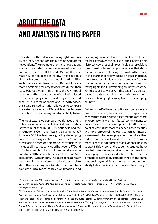

## About the data and analysis in this paper

The extent of the balance of taxing rights within a given treaty depends on the outcome of bilateral negotiations. The parameters for these negotiations are set by model conventions maintained by committees at the OECD and UN, and the vast majority of tax treaties follow these models closely. In some areas, the model treaties differ such that a given clause in the UN model leaves more developing country taxing rights intact than its OECD equivalent. In others, the UN model leaves open the precise extent of the limits placed on the developing country, and they are resolved through bilateral negotiations. In both cases, this standardised variation allows us to compare the extents to which different treaties impose restrictions on developing countries' ability to tax.

The most extensive comparative dataset that is publicly available is the ActionAid Tax Treaties Dataset, published in 2016 by ActionAid and the International Centre for Tax and Development.<sup>31</sup> It covers 519 tax treaties signed by developing countries, coding each of them for 26 points of variation based on the model conventions. It includes all treaties concluded between 1970 and 2014 by a sample of low and lower-middle income countries, all those in sub-Saharan Africa and Asia, excluding G-20 members. The dataset has already been used in peer-reviewed academic research to show that power asymmetries between countries translate into more restrictive treaties, and

developing countries learn to protect more of their taxing rights over the course of their negotiating history.32 As well as coding each individual provision, the dataset includes composite indices that show the overall balance of taxing rights within the treaty. In the charts that follow, based on these indices, a score towards 1 indicates a "source-based" treaty that safeguards the maximum amount of source taxing rights for its developing country signatory, while a score towards 0 indicates a "residencebased" treaty that takes the maximum amount of source taxing rights away from the developing country.

Following the Parliament's call for stronger sourcedbased tax treaties, the analysis in this paper takes as read that more source-based treaties are more in keeping with Member States' commitments to policy coherence for development. An alternative point of view is that more residence-based treaties act more effectively as tools to attract inward investment into developing countries, since they reduce multinational investors' effective tax rates more. There is not currently an evidence base to support this view, and academic studies have tended to model negotiations on the basis that developing countries see double taxation relief as a means to attract investment, while at the same time seeking to minimise the restrictions on their ability to tax that investment created by a treaty. $33$ 

<sup>31</sup> Martin Hearson, "Measuring Tax Treaty Negotiation Outcomes : The ActionAid Tax Treaties Dataset" (2016).

<sup>32</sup> Martin Hearson, "When Do Developing Countries Negotiate Away Their Corporate Tax Base?," *Journal of International Development* 30, no. 2 (2018).

<sup>33</sup> Thomas Rixen, "Bilateralism or Multilateralism? The Political Economy of Avoiding International Double Taxation," *European Journal of International Relations* 16, no. 4 (December 7, 2010): 589–614, https://doi.org/10.1177/1354066109346891; Thomas Rixen and Peter Schwarz, "Bargaining over the Avoidance of Double Taxation: Evidence from German Tax Treaties," *FinanzArchiv: Public Finance Analysis* 65, no. 4 (December 1, 2009): 442–71, https://doi.org/10.1628/001522109X486589; Richard Chisik and Ronald B Davies, "Asymmetric FDI and Tax-Treaty Bargaining: Theory and Evidence," *Journal of Public Economics* 88, no. 6 (June 2004): 1119–48, https://doi.org/10.1016/s0047-2727(03)00059-8.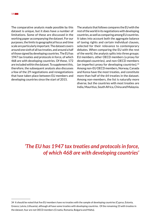The comparative analysis made possible by this dataset is unique, but it does have a number of limitations. Some of these are discussed in the working paper accompanying the dataset. For our purposes, the limits to geographical focus and time scale are particularly important. The dataset covers around one sixth of all tax treaties, and around a half of those signed by developing countries. The EU has 1947 tax treaties and protocols in force, of which 468 are with developing countries. Of these, 172 are included within the dataset. To supplement this, therefore, the subsequent analysis also discusses a few of the 29 negotiations and renegotiations that have taken place between EU members and developing countries since the start of 2015.

The analysis that follows compares the EU with the rest of the world in its negotiations with developing countries, as well as comparing among EU countries. It takes into account both the aggregate balance of taxing rights and certain individual clauses, selected for their relevance to contemporary debates. When comparing the EU with the rest of the world, the analysis splits into three groups: EU members, other OECD members (a proxy for developed countries), and non-OECD members (an imperfect proxy for developing countries).34 Among non-EU OECD members, Norway, Canada and Korea have the most treaties, and constitute more than half of the 64 treaties in the dataset. Among non-members, the list is naturally more diverse, but the countries with most treaties are India, Mauritius, South Africa, China and Malaysia.

### *'The EU has 1947 tax treaties and protocols in force, of which 468 are with developing countries'*

<sup>34</sup> It should be noted that five EU members have no treaties with the sample of developing countries (Cyprus, Estonia, Greece, Latvia, Lithuania), although all have some treaties with developing countries. Of the remaining 23 with treaties in the dataset, four are not OECD members (Croatia, Romania, Bulgaria and Malta).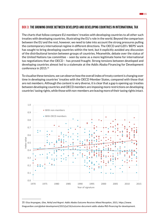#### BOX 3: THE GROWING DIVIDE BETWEEN DEVELOPED AND DEVELOPING COUNTRIES IN INTERNATIONAL TAX

The charts that follow compare EU members' treaties with developing countries to all other such treaties with developing countries, illustrating the EU's role in the world. Beyond the comparison between the EU and the rest, however, we need to take into account the strong pressures pulling the contemporary international regime in different directions. The OECD and G20's 'BEPS' work has sought to bring developing countries within the tent, but it explicitly avoided any discussion of the distributional tension between groups of countries. Meanwhile, debate over the status of the United Nations tax committee – seen by some as a more legitimate home for international tax negotiations than the OECD – has proved fraught. Strong tensions between developed and developing countries almost led to a stalemate at the Addis Ababa Financing for Development conference in 2015.35

To visualise these tensions, we can observe how the overall index of treaty content is changing over time in developing countries' treaties with the OECD Member States, compared with those that are not members. Although the content is very diverse, it is clear that a gap is opening up: treaties between developing countries and OECD members are imposing more restrictions on developing countries' taxing rights, while those with non-members are leaving more of their taxing rights intact.



35 Eliza Anyangwe, *Glee, Relief and Regret: Addis Ababa Outcome Receives Mixed Reception*, 2015, https://www. theguardian.com/global-development/2015/jul/16/outcome-document-addis-ababa-ffd3-financing-for-development. **15**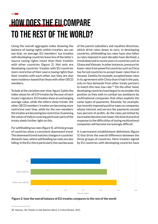## How does the EU compare to the rest of the world?

Using the overall aggregate index showing the balance of taxing rights within treaties, we can see that, on average, EU members' tax treaties with developing countries leave less of the latter's source taxing rights intact than their treaties with other countries (figure 2). Not only are developing countries' treaties with EU countries more restrictive of their source taxing rights than their treaties with each other, but they are also more residence-based than those with other OECD members.

To look at the variation over time, figure 3 plots the index values for all 519 treaties by the year of each treaty's signature. EU treaties show an unchanging average value, while the others show trends: the other OECD members' treaties are becoming more restrictive over time, while for the non-members the treaties are becoming less restrictive. Examining the values of indices covering particular parts of the treaty sheds further light on this.

For withholding tax rates (figure 4), all three groups of countries show a consistent downward trend. This downward trend matches changes in countries' domestic laws, where withholding tax rates are also falling. In the EU, this is particularly the case because of the parent-subsidiary and royalties directives, which drive rates down to zero. In developing countries, withholding tax rates have also fallen as rates imposed in past decades have declined, a trend observed in recent years in countries such as Ghana and Vietnam. In other instances, pressure for lower rates from powerful countries such as China has forced countries to accept lower rates than in the past. Zambia, for example, accepted lower rates in its agreement with China than it had in the past, only to face demands from other treaty partners to match this new, low rate.<sup>36</sup> On the other hand, developing countries have begun to reconsider this position as they seek to combat tax avoidance by multinational companies that often exploits the same types of payments. Rwanda, for example, has recently imposed punitive taxes on companies whose interest and service fee payments exceed two percent of profits. As the rates permitted by tax treaties become ever lower, this kind of practical response to the difficulties of taxing multinational companies will become increasingly difficult.

It is permanent establishment definitions (figure 5) that drive the overall difference between the three groups of countries. Here treaties signed by EU countries with developing countries have





<sup>36</sup> Hearson, *Tax Treaties in Sub-Saharan Africa: A Critical Review*, 2015.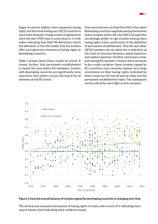begun to permit slightly more expansive taxing rights, but the trend among non-OECD countries is much more dramatic. A large cluster of agreements since the mid-1990s have a score close to 1 in the index, indicating that their PE definitions match the definition in the UN model. Few EU treaties offer such generous retention of taxing rights to developing countries.

Table 1 breaks down these results by article. It shows, further, that permanent establishment is clearly the area where EU members' treaties with developing countries are significantly more restrictive than others, across the board for all elements of the PE article.

One conclusion we can draw from this is that, when developing countries negotiate among themselves (many treaties within the non-OECD group) they increasingly prefer to sign treaties leaving more taxing rights intact, particularly in the definition of permanent establishment. That EU and other OECD members do not allow this is indicative of the clash of interests between capital exporters and capital importers. Another conclusion is that, even among EU members' treaties, there continues to be a wide variation. Some treaties signed by EU countries, even recently, impose very large restrictions on their taxing rights, indicated by lower scores on the overall source index and the permanent establishment index. The subsequent section will shine more light on this variation.



#### **Figure 3: how the overall balance of treaties signed by developing countries is changing over time**

The vertical axis measures the balance of taxing rights in treaty, with a score of 1 indicating more source-based, and 0 indicating more residence-based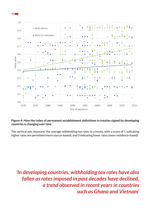



#### **Figure 4: How the index of permanent establishment definitions in treaties signed by developing countries is changing over time**

The vertical axis measures the average withholding tax rates in a treaty, with a score of 1 indicating higher rates are permitted (more source-based), and 0 indicating lower rates (more residence-based)

*'In developing countries, withholding tax rates have also fallen as rates imposed in past decades have declined, a trend observed in recent years in countries such as Ghana and Vietnam'*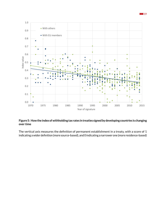

#### **Figure 5: How the index of withholding tax rates in treaties signed by developing countries is changing over time**

The vertical axis measures the definition of permanent establishment in a treaty, with a score of 1 indicating a wider definition (more source-based), and 0 indicating a narrower one (more residence-based)

**19**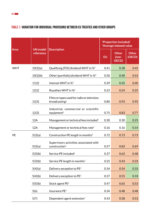### TABLE 1: VARIATION FOR INDIVIDUAL PROVISIONS BETWEEN EU TREATIES AND OTHER GROUPS

| Area       | <b>UN model</b><br>reference |                                                                          | <sup>1</sup> Proportion included/<br><sup>2</sup> Average indexed value |                                         |                        |
|------------|------------------------------|--------------------------------------------------------------------------|-------------------------------------------------------------------------|-----------------------------------------|------------------------|
|            |                              | <b>Description</b>                                                       | <b>EU</b>                                                               | <b>Other</b><br>$(non-$<br><b>OECD)</b> | <b>Other</b><br>(OECD) |
| <b>WHT</b> | 10(2)(a)                     | Qualifying [FDI] dividend WHT in % <sup>2</sup>                          | 0.41                                                                    | 0.38                                    | 0.45                   |
|            | 10(2)(b)                     | Other [portfolio] dividend WHT in % <sup>2</sup>                         | 0.50                                                                    | 0.40                                    | 0.53                   |
|            | 11(2)                        | Interest WHT in % <sup>2</sup>                                           | 0.39                                                                    | 0.35                                    | 0.40                   |
|            | 12(2)                        | Royalties WHT in % <sup>2</sup>                                          | 0.23                                                                    | 0.24                                    | 0.25                   |
|            | 12(3)                        | Films or tapes used for radio or television<br>broadcasting <sup>1</sup> | 0.80                                                                    | 0.93                                    | 0.95                   |
|            | 12(3)                        | Industrial, commercial or scientific<br>equipment $1$                    | 0.75                                                                    | 0.83                                    | 0.77                   |
|            | 12A                          | Management or technical fees included <sup>1</sup>                       | 0.30                                                                    | 0.30                                    | 0.25                   |
|            | 12A                          | Management or technical fees rate <sup>2</sup>                           | 0.16                                                                    | 0.16                                    | 0.14                   |
| PE         | 5(3)(a)                      | Construction PE length in months <sup>2</sup>                            | 0.72                                                                    | 0.73                                    | 0.73                   |
|            | 5(3)(a)                      | Supervisory activities associated with<br>construction <sup>1</sup>      | 0.57                                                                    | 0.83                                    | 0.69                   |
|            | 5(3)(b)                      | Service PE included <sup>1</sup>                                         | 0.37                                                                    | 0.63                                    | 0.48                   |
|            | 5(3)(b)                      | Service PE length in months <sup>2</sup>                                 | 0.25                                                                    | 0.43                                    | 0.33                   |
|            | 5(4)(a)                      | Delivery exception to PE <sup>1</sup>                                    | 0.34                                                                    | 0.54                                    | 0.33                   |
|            | 5(4)(b)                      | Delivery exception to PE <sup>1</sup>                                    | 0.37                                                                    | 0.55                                    | 0.33                   |
|            | 5(5)(b)                      | Stock agent PE <sup>1</sup>                                              | 0.47                                                                    | 0.65                                    | 0.53                   |
|            | 5(6)                         | Insurance PE <sup>1</sup>                                                | 0.34                                                                    | 0.48                                    | 0.48                   |
|            | 5(7)                         | Dependent agent extension <sup>1</sup>                                   | 0.43                                                                    | 0.58                                    | 0.53                   |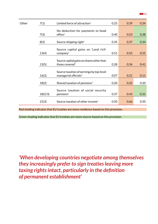| ۰, |
|----|
|    |
|    |

г

| Other | 7(1)    | Limited force of attraction <sup>1</sup>                                | 0.25 | 0.39 | 0.34 |
|-------|---------|-------------------------------------------------------------------------|------|------|------|
|       | 7(3)    | No deduction for payments to head<br>office <sup>1</sup>                | 0.40 | 0.53 | 0.38 |
|       | 8(2)    | Source shipping right $1$                                               | 0.35 | 0.37 | 0.34 |
|       | 13(4)   | Source capital gains on 'Land rich'<br>company $1$                      | 0.51 | 0.55 | 0.55 |
|       | 13(5)   | Source capital gains on shares other than<br>those covered <sup>1</sup> | 0.28 | 0.34 | 0.41 |
|       | 16(2)   | Source taxation of earnings by top-level<br>managerial officials $1$    | 0.07 | 0.21 | 0.11 |
|       | 18(2)   | Shared taxation of pensions <sup>1</sup>                                | 0.20 | 0.25 | 0.20 |
|       | 18(2/3) | Source taxation of social security<br>$p$ ensions <sup>1</sup>          | 0.37 | 0.43 | 0.31 |
|       | 21(3)   | Source taxation of other income <sup>1</sup>                            | 0.50 | 0.66 | 0.50 |

Red shading indicates that EU treaties are more residence-based on this provision.

Green shading indicates that EU treaties are more source-based on this provision.

*'When developing countries negotiate among themselves they increasingly prefer to sign treaties leaving more taxing rights intact, particularly in the definition of permanent establishment'*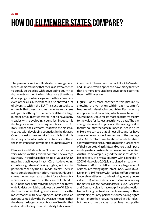# How do EU Member States compare?

The previous section illustrated some general trends, demonstrating that the EU as a whole tends to conclude treaties with developing countries that constrain their taxing rights more than those developing countries sign with other countries, even other OECD members. It also showed a lot of diversity within the EU. This section seeks to untangle that diversity some more. As we can see in Figure 6, although EU members all have a large number of tax treaties overall, not all have many treaties with developing countries. Indeed, it is the largest outward investing countries – the UK, Italy, France and Germany - that have the most tax treaties with developing countries in the dataset. One conclusion we can take from this is that it is these larger countries whose tax treaties will have the most impact on developing countries overall.

Figures 7 and 8 show how EU members' treaties vary in terms of their overall content. The average EU treaty in the dataset has an index value of 0.40, meaning that it leaves intact 40% of its developing country signatories' taxing rights, within the parameters set by the UN model treaty. There is quite considerable variation, however. Figure 7 shows the average treaty content for each country, which varies from 0.53 in the case of Finland to 0.32 in the case of Italy (Malta only has one treaty, with Pakistan, which has a lower value of 0.22). All the four countries that figure 6 showed to have the most treaties with developing countries have an average value below the EU average, meaning that they have the largest concentration of treaties that restrict developing countries' ability to tax inward investment. These countries could look to Sweden and Finland, which appear to have many treaties that are more favourable to developing countries than the EU average.

Figure 8 adds more context to this picture by showing the variation within each country's treaties with developing countries. Each country is represented by a bar, which runs from the source index value for its most restrictive treaty, to the value for its least restrictive treaty. The bar changes from red to yellow at the average value for that country, the same number as used in figure 6. Here we can see that almost all countries have a very wide variation, irrespective of the average value. All therefore have treaties in which they have allowed developing countries to retain a large share of their source taxing rights, and others that impose much greater constraints on developing countries. Austria, for example, signed the most residencebased treaty of any EU country, with Mongolia in 2003 (index value 0.10); it also signed a treaty with Vietnam in 2008 that left an unusually large amount of its source taxing rights intact (index value 0.60). Denmark's 1987 treaty with Pakistan offers the most favourable settlement to a developing country (index value 0.82), while its treaty with Zambia is among the most residence-based (index value 0.21). Austria and Denmark clearly have no principled objection to concluding tax treaties that leave many of their developing country partner's source taxing rights intact – more than half, as measured in this index but they also have treaties that achieve the opposite.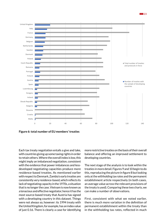

**Figure 6: total number of EU members' treaties**

Each tax treaty negotiation entails a give and take, with countries giving up some taxing rights in order to retain others. Where the overall index is low, this might imply an imbalanced negotiation, consistent with the evidence that power imbalances and lessdeveloped negotiating capacities produce more residence-based treaties. As mentioned earlier with respect to Denmark, Zambia's early treaties are consistently very residence-based, which reflects its lack of negotiating capacity in the 1970s, a situation that is no longer the case. Vietnam is now known as a tenacious and effective negotiator, hence it has the most source-based treaty that Austria has signed with a developing country in this dataset. Things were not always so, however: its 1994 treaty with the United Kingdom, for example, has an index value of just 0.16. There is clearly a case for identifying more restrictive treaties on the basis of their overall balance and offering an improved settlement to developing countries.

The next stage of the analysis is to look within the treaties in more detail. Figures 9 and 10 begin to do this, reproducing the picture in figure 8 but looking only at the withholding tax rates and the permanent establishment article respectively (in both cases, an average value across the relevant provisions of the treaty is used). Comparing these two charts, we can make a number of observations.

First, consistent with what we noted earlier, there is much more variation in the definition of permanent establishment within the treaty than in the withholding tax rates, reflected in much

**23**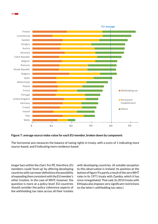



The horizontal axis measures the balance of taxing rights in treaty, with a score of 1 indicating more source-based, and 0 indicating more residence-based

 $0.1$  0.2 0.3 0.4 0.5

0 0.1 0.2 0.3 0.4 0.5

longer bars within the chart. For PE, therefore, EU members could 'level up' by offering developing countries with narrower definitions the possibility of expanding them consistent with the EU member's other treaties. In the case of WHT, however, the question is more at a policy level: EU countries should consider the policy coherence aspects of the withholding tax rates across all their treaties

Malta Italy Ireland Croatia Germany

United Kingdom

Portugal France Poland

> with developing countries. (A notable exception to this observation is Ireland. Its position at the bottom of figure 9 is partly a result of the zero WHT rates in its 1971 treaty with Zambia, which it has since renegotiated. That said, its 2014 treaty with Ethiopia also imposes very significant restrictions on the latter's withholding tax rates.)

**Withholding tax** 

**Permanent** Establishment

Others

**24**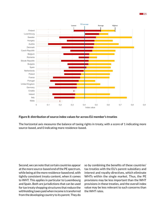



#### **Figure 8: distribution of source index values for across EU member's treaties**

The horizontal axis measures the balance of taxing rights in treaty, with a score of 1 indicating more source-based, and 0 indicating more residence-based.

Second, we can note that certain countries appear at the more source-based end of the PE spectrum, while being at the more residence-based end, with tightly consistent treaty content, when it comes to WHT. This applies in particular to Luxembourg and Spain. Both are jurisdictions that can be used for tax treaty shopping structures that reduce the withholding taxes paid when income is transferred from the developing country to its parent. They do

so by combining the benefits of these countries' tax treaties with the EU's parent-subsidiary and interest and royalty directives, which eliminate WHTs within the single market. Thus, the PE provisions may be less important than the WHT provisions in these treaties, and the overall index value may be less relevant to such concerns than the WHT rates.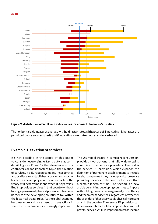

**Figure 9: distribution of WHT rate index values for across EU member's treaties**

The horizontal axis measures average withholding tax rates, with a score of 1 indicating higher rates are permitted (more source-based), and 0 indicating lower rates (more residence-based)

#### **Example 1: taxation of services**

It's not possible in the scope of this paper to consider every single tax treaty clause in detail. Figures 11 and 12 therefore hone in on a controversial and important topic, the taxation of services. If a European company incorporates a subsidiary, or establishes a bricks and mortar branch in a developing country, other parts of the treaty will determine if and when it pays taxes. But if it provides services in that country without having a permanent physical presence, it becomes harder for the developing country to tax within the historical treaty rules. As the global economy becomes more and more based on transactions in services, this scenario is increasingly important.

The UN model treaty, in its most recent version, provides two options that allow developing countries to tax service providers. The first is the service PE provision, which expands the definition of permanent establishment to include foreign companies if they have a physical presence providing services in the country for more than a certain length of time. The second is a new article permitting developing countries to impose withholding taxes on management, consultancy and technical service fees, regardless of whether the provider of those services is physically present at all in the country. The service PE provision can be seen as a subtler tool that imposes taxes on net profits; service WHT is imposed on gross income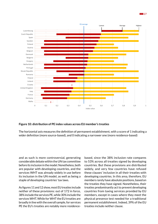



#### **Figure 10: distribution of PE index values across EU member's treaties**

The horizontal axis measures the definition of permanent establishment, with a score of 1 indicating a wider definition (more source-based), and 0 indicating a narrower one (more residence-based)

and as such is more controversial, generating considerable debate within the UN tax committee before its inclusion in the model. Nonetheless, both are popular with developing countries, and the services WHT was already widely in use before its inclusion in the UN model, as well as being a staple of developing countries' tax laws.

As figures 11 and 12 show, most EU treaties include neither of these provisions: out of 172 in force, 38% include the services PE, while 30% include the services WHT. While for WHT the EU treaties are broadly in line with the overall sample, for services PE the EU's treaties are notably more residencebased, since the 38% inclusion rate compares to 53% across all treaties signed by developing countries. But these provisions are distributed widely, and very few countries have refused these clauses' inclusion in all their treaties with developing countries. In this area, therefore, EU members rarely have absolute positions, based on the treaties they have signed. Nonetheless, their treaties predominantly act to prevent developing countries from taxing services provided by EU members, except in cases where they meet the physical presence test needed for a traditional permanent establishment. Indeed, 39% of the EU treaties include neither clause.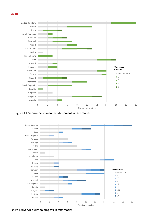

**Figure 11: Service permanent establishment in tax treaties**



**Figure 12: Service withholding tax in tax treaties**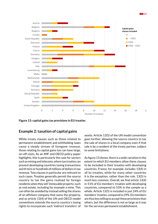

**Figure 13: capital gains tax provisions in EU treaties**

#### **Example 2: taxation of capital gains**

While treaty clauses such as those related to permanent establishment and withholding taxes cause a steady stream of foregone revenue, those relating to capital gains tax can have large, on-off costs. As an IMF and OECD policy paper highlights, this is particularly the case for sectors such as mining and telecoms, where tax treaties can prevent developing countries taxing transactions worth tens or hundreds of millions of dollars in tax revenue. Two clauses in particular are relevant to such cases. Treaties generally permit the source country to tax the gains realised by foreign residents when they sell 'immovable property', such as real estate, including for example a mine. This can often be avoided by instead selling the shares of an offshore company that owns the property, and so article 13(4) of the UN and OECD model conventions extends the source country's taxing rights to incorporate such 'indirect transfers' of

assets. Article 13(5) of the UN model convention goes further, allowing the source country to tax the sale of shares in a local company even if that sale is by a resident of the treaty partner, subject to some limitations.

As figure 13 shows, there is a wide variation in the extent to which EU members allow these clauses to be included in their treaties with developing countries. France, for example, includes 13(4) in all its treaties, while for many other countries it is the exception, rather than the rule. 13(5) is much less common. Overall, we find article 13(4) in 51% of EU members' treaties with developing countries, compared to 53% in the sample as a whole. Article 13(5) is included in just 24% of EU members' treaties, compared to 29%. EU members are thus less willing to accept these provisions than others, but the difference is not as large as it was for the services permanent establishment.

**29**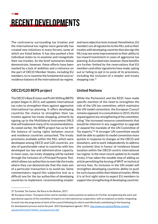## Recent developments

The controversy surrounding tax treaties and the international tax regime more generally has created new initiatives in many forums, some of which are listed below. It has also pushed a few individual states to re-examine and renegotiate their tax treaties. As the brief summaries below demonstrate, however, these efforts have been marked by a lack of ambition and a reticence on the part of OECD Member States, including EU members, to re-examine the fundamental source/ residence balance of the international tax regime.

### **OECD/G20 BEPS project**

The OECD's Base Erosion and Profit Shifting (BEPS) project began in 2013, and updates international tax rules to strengthen them against aggressive international tax planning. It offers developing countries the chance to strengthen their tax treaties against tax treaty shopping, primarily by signing up to the Multilateral Instrument (MLI) that will implement many of its recommendations. As noted earlier, the BEPS project has so far left the balance of taxing rights between source and residence countries untouched. The treaty provisions available within the MLI, which were developed among OECD and G20 countries, are also of questionable value to countries with less developed tax law and administrative capacity. In most cases, tax treaty shopping will be tackled through the inclusion of a Principal Purpose Test, which allows tax authorities to override the treaty where they can demonstrate that the main aim of a particular transaction is to avoid tax. Some commentators regard this subjective test as a difficult one for the tax authorities of developing countries to implement, recommending simpler

and more objective tests instead. Nonetheless, EU members are all signatories to the MLI, and so their treaties with developing countries that also sign the MLI may see some improvements to their ability to tax inward investment in cases of aggressive tax planning. As Eurodad note, however, these benefits are further limited by the reservations that EU members and other signatories have made, opting out or failing to opt in to some of its provisions, including the inclusion of a simpler anti-treaty shopping rule. $37$ 

### **United Nations**

While the Parliament and the EESC have made specific mention of the need to strengthen the role of the UN tax committee, which maintains the UN model convention, the European Council remains opposed. In a consultation in 2015, the EU argued against any strengthening of the committee, citing "the increased resource commitments that would be inherent in any suggestion to upgrade or expand the mandate of the UN Committee of Tax experts."38 A stronger UN committee would both be able to update its model convention more quickly in response to changes at the OECD and elsewhere, and to work independently to address the systemic bias in favour of residence-based taxation within the OECD-centric international tax regime. In the most recent update to its model treaty, it has taken the notable step of adding an article permitting the levying of WHT on technical service fees. Its inclusion in the UN model will strengthen developing countries ability to push for such clauses within their bilateral treaties. While it is at first sight naïve to expect EU members to support the strengthening of developing countries'

<sup>37</sup> Eurodad, Tax Games: the Race to the Bottom, 2017.

<sup>38</sup> European Union, "European Union and its members states position on options for Further strengthening the work and operational capacity of the committee of experts on international tax cooperation, with an emphasis on better integrating its work into the programme of work of the council following its reform and effectively contributing to the financing for development process and to the post- 2015 development agenda," 2015. [http://www.un.org/esa/ffd/wp-content/](http://www.un.org/esa/ffd/wp-content/uploads/2015/03/ICTM2015_EuropeanUnion.pdf) [uploads/2015/03/ICTM2015\\_EuropeanUnion.pdf](http://www.un.org/esa/ffd/wp-content/uploads/2015/03/ICTM2015_EuropeanUnion.pdf)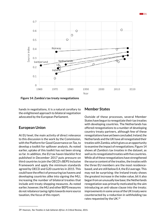

**Figure 14: Zambia's tax treaty renegotiations**

hands in negotiations, it is a natural corollary to the enlightened approach to bilateral negotiation advocated by the European Parliament.

#### **European Union**

At EU level, the main activity of direct relevance to this discussion is the work by the Commission, with the Platform for Good Governance on Tax, to develop a toolkit for spillover analysis. As noted earlier, uptake of this toolkit has not been strong so far. In addition, the EU tax haven blacklist first published in December 2017 puts pressure on third countries to join the OECD's BEPS Inclusive Framework and apply the minimum standards agreed by OECD and G20 countries in 2015. This could have the effect of pressuring tax havens and developing countries alike into signing the MLI, increasing the number of bilateral treaties that include anti-treaty shopping measures. As noted earlier, however, the MLI and other BEPS measures do not rebalance taxing rights towards more source taxation, the focus of this report.

#### **Member States**

Outside of these processes, several Member States have begun to renegotiate their tax treaties with developing countries. The Netherlands has offered renegotiations to a number of developing country treaty partners, although few of these renegotiations have yet been concluded. Ireland, the Netherlands and the UK have all renegotiated their treaties with Zambia, which gives us an opportunity to examine the impact of renegotiations. Figure 14 shows all Zambia's tax treaties in the dataset, as well as its renegotiated treaties with five countries. While all of these renegotiations have strengthened the source content of the treaties, the treaties with the three EU members are the most residencebased, and are still below 0.4, the EU average. This may not be surprising: the Ireland treaty shows the greatest increase in the index value, bit it also began from an unusually low base; the Netherlands renegotiation was primarily motivated by the aim introducing an anti-abuse clause into the treaty; improvements in some areas of the UK treaty were counteracted by a reduction in withholding tax rates requested by the UK.39

**31**

<sup>39</sup> Hearson, *Tax Treaties in Sub-Saharan Africa: A Critical Review*, 2015.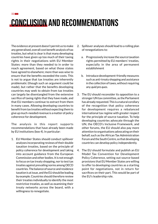## Conclusion and recommendations

The evidence at present doesn't permit us to make any generalised, overall cost benefit analysis of tax treaties, but what is clear is that many developing countries have given up too much of their taxing rights in their negotiations with EU Member States: more than they needed to in order to reach agreement, based on what those states have agreed to elsewhere; more than was wise to ensure that the benefits exceeded the costs. This is not to argue that tax treaties are inherently problematic (though such an argument could be made), but rather that the benefits developing countries may seek to obtain from tax treaties can largely be disentangled from the extensive sacrifice of taxing rights that they have made, and that EU members continue to extract from them in many cases. Allowing developing countries to benefit from tax treaties without expecting them to give up much-needed revenue is a matter of policy coherence for development.

The analysis in this report supports recommendations that have already been made by EU institutions (box 4). In particular:

1. EU Member States should conduct spillover analyses incorporating reviews of their double taxation treaties, based on the principle of policy coherence for development and taking into account guidance from the European Commission and other bodies. It is not enough to focus on tax treaty shopping, nor to test tax treaties against prevailing norms among OECD countries. The balance of source and residence taxation is at issue, and the EU should be leading by example. Countries should therefore review their treaties individually to identify the most restrictive treaties, as well as examining their treaty networks across the board, with a willingness to renegotiate.

- 2. Spillover analyses should lead to a rolling plan of renegotiations to:
	- a. Progressively increase the source taxation rights permitted by EU members' treaties, especially in the area of permanent establishment
	- b. Introduce development-friendly measures such as anti-treaty shopping and assistance in the collection of taxes, without requiring any *quid pro quos*.
- 3. The EU should reconsider its opposition to a stronger UN tax committee, as the Parliament has already requested. This is a natural corollary of the recognition that policy coherence for development requires a rebalanced international tax regime with greater respect for the principle of source taxation. To help developing countries advocate through the UN, the OECD's Inclusive Framework, and other forums, the EU should also pay more attention to organisations advocating on their behalf, such as the African Tax Administration Forum and the South Centre, so that developing countries can develop policy independently.
- 4. The EU should formulate and publish an EU Model Tax Convention for Development Policy Coherence, setting out source-based provisions that EU Member States are willing to offer to developing countries as a starting point for negotiations, not in return for sacrifices on their part. This would be part of the EU's leadership role.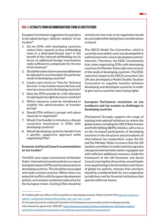#### BOX 4: EXTRACTS FROM RECOMMENDATIONS FROM EU INSTITUTIONS

European Commission suggestions for questions to be asked during a 'spillover analysis' of tax  $t$ reaties $40$ 

- 1. Do my DTAs with developing countries reduce their capacity to levy withholding taxes in a disproportionate way? Is the benefit of the reduced withholding tax (in terms of additional foreign investments) really sufficient to compensate for the loss of tax revenues?
- 2. Should the notion of permanent establishment be adjusted to accommodate the particular needs of developing countries?
- 3. Could a new article on "Fees for Technical Services" in tax treaties ensure fairness and new tax resources for developing countries?
- 4. Does the DTA's provide for a fair allocation of capital gain tax rights by source countries?
- 5. Which measures could be introduced to simplify the administration of transfer pricing?
- 6. Should DTAs without a proper anti-abuse clause be re-negotiated?
- 7. Would it be feasible to introduce a dispute resolution mechanism in DTAs with developing countries?
- 8. Would developing countries benefit from a specific, supportive approach while negotiating DTAs?

#### **Economic and Social Council recommendation on tax treaties**<sup>41</sup>

The EESC sees impact assessments of Member States' international taxation policies as a way of testing the impact of DTAs and tax inducements on developing countries. This should be encouraged and made common practice. Where there are potential conflicts with European development policies, such analysis would also make sense for the European Union. Existing DTAs should be

revised and new ones to be negotiated should be concluded while taking these considerations on board.

The OECD Model Tax Convention, which is currently most widely used, was developed first and foremost with a view to developed countries' interests. Therefore, the EESC recommends that, when negotiating DTAs with developing countries, EU Member States take more account of the needs of developing countries. The EESC notes that, based on the OECD convention, the UN also developed a Model Double Taxation Convention to regulate taxation between developing and developed countries in order to give source countries more taxing rights.

#### **European Parliament resolution on tax avoidance and tax evasion as challenges in developing countries**

[Parliament] Strongly supports the range of existing international initiatives to reform the global system, including the OECD Base Erosion and Profit Shifting (BEPS) initiative, with a focus on the increased participation of developing countries in the structures and procedures of international tax cooperation; urges the EU and the Member States to ensure that the UN taxation committee is transformed into a genuine intergovernmental body, better equipped and with sufficient additional resources, inside the framework of the UN Economic and Social Council, ensuring that all countries can participate on an equal footing in the formulation and reform of global tax policies; stresses that sanctions should be considered both for non-cooperative jurisdictions and for financial institutions that operate within tax havens.

<sup>40</sup> Toolbox spill-over effects of EU tax policies on developing countries. Platform/32/2017/EN [https://ec.europa.eu/](https://ec.europa.eu/taxation_customs/sites/taxation/files/toolbox_dtas_spill_overs_en.pdf) [taxation\\_customs/sites/taxation/files/toolbox\\_dtas\\_spill\\_overs\\_en.pdf](https://ec.europa.eu/taxation_customs/sites/taxation/files/toolbox_dtas_spill_overs_en.pdf)

<sup>41</sup> European Economic and Social Committee. EU development partnerships and the challenge posed by international tax agreements. REX/487. [https://www.eesc.europa.eu/en/our-work/opinions-information-reports/](https://www.eesc.europa.eu/en/our-work/opinions-information-reports/opinions/eu-development-partnerships-and-challenge-posed-international-tax-agreements) [opinions/eu-development-partnerships-and-challenge-posed-international-tax-agreements](https://www.eesc.europa.eu/en/our-work/opinions-information-reports/opinions/eu-development-partnerships-and-challenge-posed-international-tax-agreements)